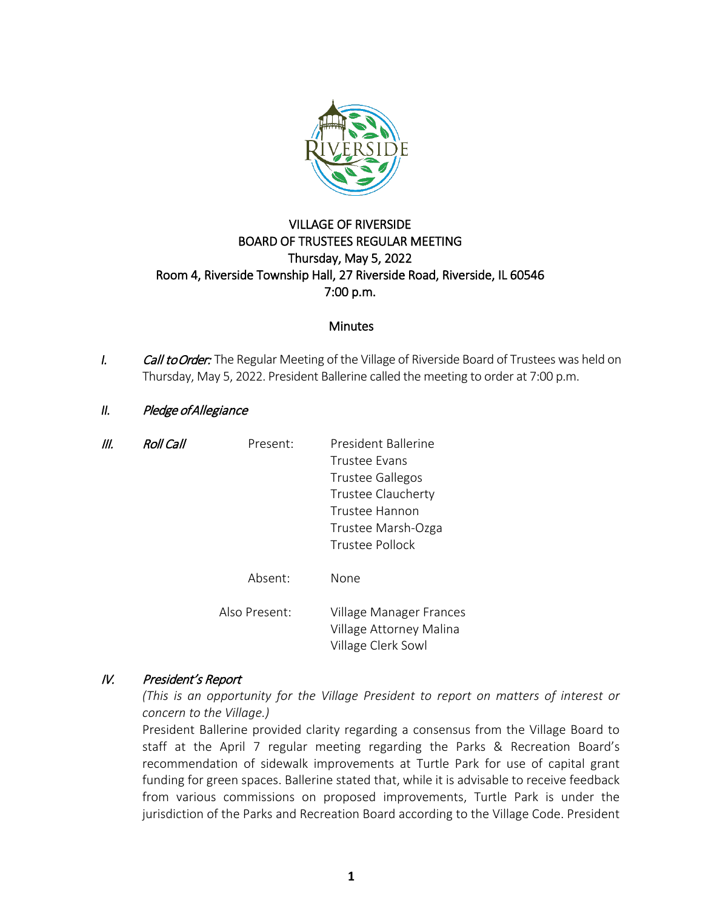

# VILLAGE OF RIVERSIDE BOARD OF TRUSTEES REGULAR MEETING Thursday, May 5, 2022 Room 4, Riverside Township Hall, 27 Riverside Road, Riverside, IL 60546 7:00 p.m.

### **Minutes**

*I.* Call to Order: The Regular Meeting of the Village of Riverside Board of Trustees was held on Thursday, May 5, 2022. President Ballerine called the meeting to order at 7:00 p.m.

# *II.* Pledge of Allegiance

| Ш. | <b>Roll Call</b> | Present:      | President Ballerine<br><b>Trustee Evans</b><br><b>Trustee Gallegos</b><br>Trustee Claucherty<br>Trustee Hannon<br>Trustee Marsh-Ozga |
|----|------------------|---------------|--------------------------------------------------------------------------------------------------------------------------------------|
|    |                  |               | Trustee Pollock                                                                                                                      |
|    |                  | Absent:       | None                                                                                                                                 |
|    |                  | Also Present: | Village Manager Frances<br>Village Attorney Malina<br>Village Clerk Sowl                                                             |

# IV. President's Report

*(This is an opportunity for the Village President to report on matters of interest or concern to the Village.)*

President Ballerine provided clarity regarding a consensus from the Village Board to staff at the April 7 regular meeting regarding the Parks & Recreation Board's recommendation of sidewalk improvements at Turtle Park for use of capital grant funding for green spaces. Ballerine stated that, while it is advisable to receive feedback from various commissions on proposed improvements, Turtle Park is under the jurisdiction of the Parks and Recreation Board according to the Village Code. President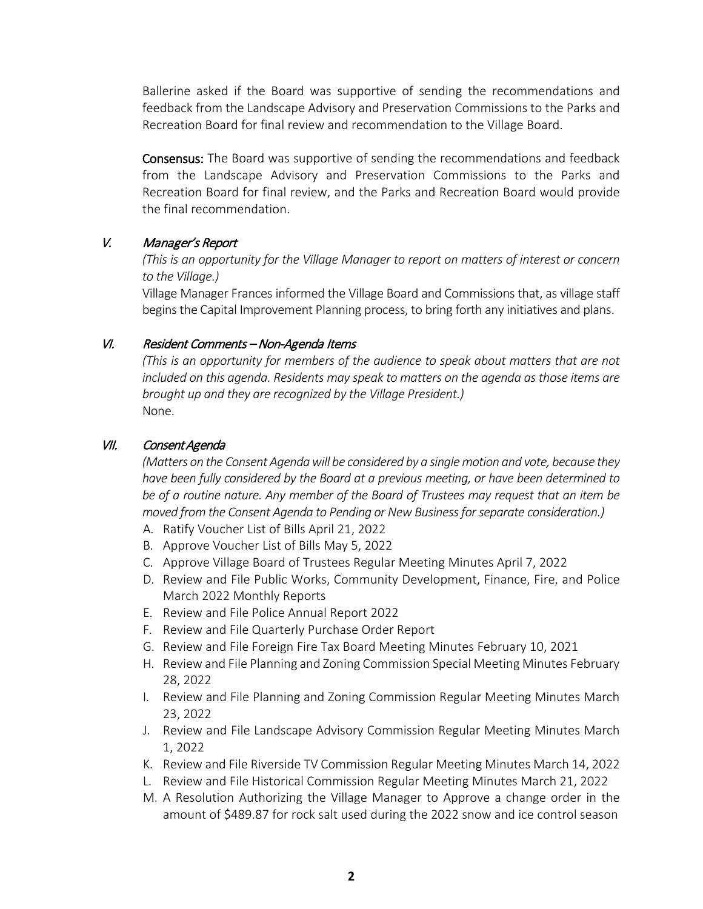Ballerine asked if the Board was supportive of sending the recommendations and feedback from the Landscape Advisory and Preservation Commissions to the Parks and Recreation Board for final review and recommendation to the Village Board.

Consensus: The Board was supportive of sending the recommendations and feedback from the Landscape Advisory and Preservation Commissions to the Parks and Recreation Board for final review, and the Parks and Recreation Board would provide the final recommendation.

# V. Manager's Report

*(This is an opportunity for the Village Manager to report on matters of interest or concern to the Village.)*

Village Manager Frances informed the Village Board and Commissions that, as village staff begins the Capital Improvement Planning process, to bring forth any initiatives and plans.

# VI. Resident Comments – Non-Agenda Items

*(This is an opportunity for members of the audience to speak about matters that are not included on this agenda. Residents may speak to matters on the agenda as those items are brought up and they are recognized by the Village President.)* None.

### VII. Consent Agenda

*(Matters on the Consent Agenda will be considered by a single motion and vote, because they have been fully considered by the Board at a previous meeting, or have been determined to be of a routine nature. Any member of the Board of Trustees may request that an item be moved from the Consent Agenda to Pending or New Business for separate consideration.)*

- A. Ratify Voucher List of Bills April 21, 2022
- B. Approve Voucher List of Bills May 5, 2022
- C. Approve Village Board of Trustees Regular Meeting Minutes April 7, 2022
- D. Review and File Public Works, Community Development, Finance, Fire, and Police March 2022 Monthly Reports
- E. Review and File Police Annual Report 2022
- F. Review and File Quarterly Purchase Order Report
- G. Review and File Foreign Fire Tax Board Meeting Minutes February 10, 2021
- H. Review and File Planning and Zoning Commission Special Meeting Minutes February 28, 2022
- I. Review and File Planning and Zoning Commission Regular Meeting Minutes March 23, 2022
- J. Review and File Landscape Advisory Commission Regular Meeting Minutes March 1, 2022
- K. Review and File Riverside TV Commission Regular Meeting Minutes March 14, 2022
- L. Review and File Historical Commission Regular Meeting Minutes March 21, 2022
- M. A Resolution Authorizing the Village Manager to Approve a change order in the amount of \$489.87 for rock salt used during the 2022 snow and ice control season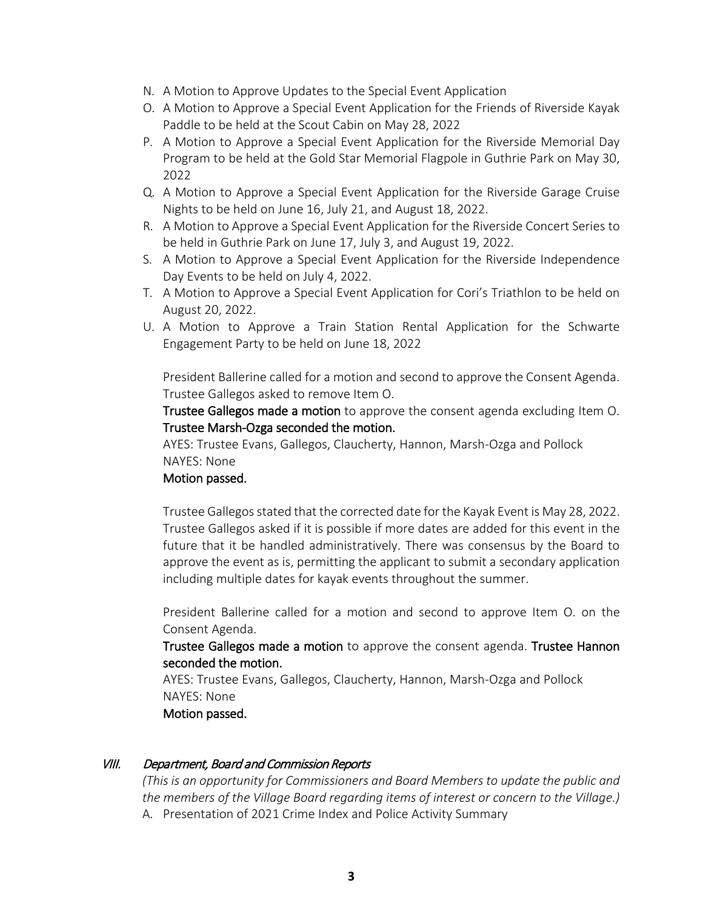- N. A Motion to Approve Updates to the Special Event Application
- O. A Motion to Approve a Special Event Application for the Friends of Riverside Kayak Paddle to be held at the Scout Cabin on May 28, 2022
- P. A Motion to Approve a Special Event Application for the Riverside Memorial Day Program to be held at the Gold Star Memorial Flagpole in Guthrie Park on May 30, 2022
- Q. A Motion to Approve a Special Event Application for the Riverside Garage Cruise Nights to be held on June 16, July 21, and August 18, 2022.
- R. A Motion to Approve a Special Event Application for the Riverside Concert Series to be held in Guthrie Park on June 17, July 3, and August 19, 2022.
- S. A Motion to Approve a Special Event Application for the Riverside Independence Day Events to be held on July 4, 2022.
- T. A Motion to Approve a Special Event Application for Cori's Triathlon to be held on August 20, 2022.
- U. A Motion to Approve a Train Station Rental Application for the Schwarte Engagement Party to be held on June 18, 2022

President Ballerine called for a motion and second to approve the Consent Agenda. Trustee Gallegos asked to remove Item O.

Trustee Gallegos made a motion to approve the consent agenda excluding Item O. Trustee Marsh-Ozga seconded the motion.

AYES: Trustee Evans, Gallegos, Claucherty, Hannon, Marsh-Ozga and Pollock NAYES: None

#### Motion passed.

Trustee Gallegos stated that the corrected date for the Kayak Event is May 28, 2022. Trustee Gallegos asked if it is possible if more dates are added for this event in the future that it be handled administratively. There was consensus by the Board to approve the event as is, permitting the applicant to submit a secondary application including multiple dates for kayak events throughout the summer.

President Ballerine called for a motion and second to approve Item O. on the Consent Agenda.

Trustee Gallegos made a motion to approve the consent agenda. Trustee Hannon seconded the motion.

AYES: Trustee Evans, Gallegos, Claucherty, Hannon, Marsh-Ozga and Pollock NAYES: None

Motion passed.

#### VIII. Department, Board and Commission Reports

*(This is an opportunity for Commissioners and Board Members to update the public and the members of the Village Board regarding items of interest or concern to the Village.)* A. Presentation of 2021 Crime Index and Police Activity Summary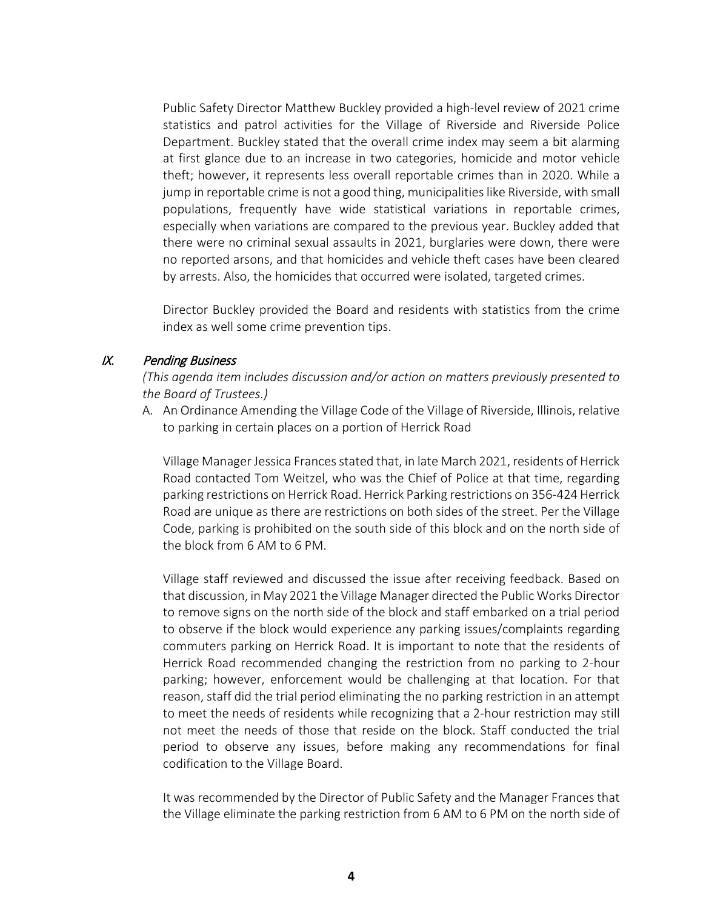Public Safety Director Matthew Buckley provided a high-level review of 2021 crime statistics and patrol activities for the Village of Riverside and Riverside Police Department. Buckley stated that the overall crime index may seem a bit alarming at first glance due to an increase in two categories, homicide and motor vehicle theft; however, it represents less overall reportable crimes than in 2020. While a jump in reportable crime is not a good thing, municipalities like Riverside, with small populations, frequently have wide statistical variations in reportable crimes, especially when variations are compared to the previous year. Buckley added that there were no criminal sexual assaults in 2021, burglaries were down, there were no reported arsons, and that homicides and vehicle theft cases have been cleared by arrests. Also, the homicides that occurred were isolated, targeted crimes.

Director Buckley provided the Board and residents with statistics from the crime index as well some crime prevention tips.

#### IX. Pending Business

*(This agenda item includes discussion and/or action on matters previously presented to the Board of Trustees.)*

A. An Ordinance Amending the Village Code of the Village of Riverside, Illinois, relative to parking in certain places on a portion of Herrick Road

Village Manager Jessica Frances stated that, in late March 2021, residents of Herrick Road contacted Tom Weitzel, who was the Chief of Police at that time, regarding parking restrictions on Herrick Road. Herrick Parking restrictions on 356-424 Herrick Road are unique as there are restrictions on both sides of the street. Per the Village Code, parking is prohibited on the south side of this block and on the north side of the block from 6 AM to 6 PM.

Village staff reviewed and discussed the issue after receiving feedback. Based on that discussion, in May 2021 the Village Manager directed the Public Works Director to remove signs on the north side of the block and staff embarked on a trial period to observe if the block would experience any parking issues/complaints regarding commuters parking on Herrick Road. It is important to note that the residents of Herrick Road recommended changing the restriction from no parking to 2-hour parking; however, enforcement would be challenging at that location. For that reason, staff did the trial period eliminating the no parking restriction in an attempt to meet the needs of residents while recognizing that a 2-hour restriction may still not meet the needs of those that reside on the block. Staff conducted the trial period to observe any issues, before making any recommendations for final codification to the Village Board.

It was recommended by the Director of Public Safety and the Manager Frances that the Village eliminate the parking restriction from 6 AM to 6 PM on the north side of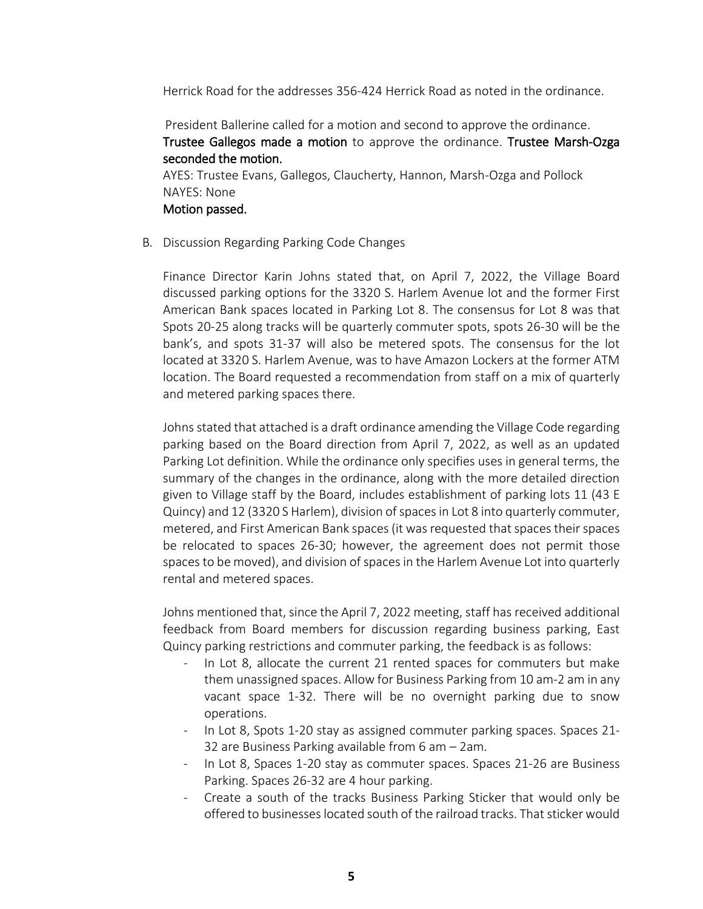Herrick Road for the addresses 356-424 Herrick Road as noted in the ordinance.

President Ballerine called for a motion and second to approve the ordinance. Trustee Gallegos made a motion to approve the ordinance. Trustee Marsh-Ozga seconded the motion.

AYES: Trustee Evans, Gallegos, Claucherty, Hannon, Marsh-Ozga and Pollock NAYES: None Motion passed.

B. Discussion Regarding Parking Code Changes

Finance Director Karin Johns stated that, on April 7, 2022, the Village Board discussed parking options for the 3320 S. Harlem Avenue lot and the former First American Bank spaces located in Parking Lot 8. The consensus for Lot 8 was that Spots 20-25 along tracks will be quarterly commuter spots, spots 26-30 will be the bank's, and spots 31-37 will also be metered spots. The consensus for the lot located at 3320 S. Harlem Avenue, was to have Amazon Lockers at the former ATM location. The Board requested a recommendation from staff on a mix of quarterly and metered parking spaces there.

Johns stated that attached is a draft ordinance amending the Village Code regarding parking based on the Board direction from April 7, 2022, as well as an updated Parking Lot definition. While the ordinance only specifies uses in general terms, the summary of the changes in the ordinance, along with the more detailed direction given to Village staff by the Board, includes establishment of parking lots 11 (43 E Quincy) and 12 (3320 S Harlem), division of spaces in Lot 8 into quarterly commuter, metered, and First American Bank spaces (it was requested that spaces their spaces be relocated to spaces 26-30; however, the agreement does not permit those spaces to be moved), and division of spaces in the Harlem Avenue Lot into quarterly rental and metered spaces.

Johns mentioned that, since the April 7, 2022 meeting, staff has received additional feedback from Board members for discussion regarding business parking, East Quincy parking restrictions and commuter parking, the feedback is as follows:

- In Lot 8, allocate the current 21 rented spaces for commuters but make them unassigned spaces. Allow for Business Parking from 10 am-2 am in any vacant space 1-32. There will be no overnight parking due to snow operations.
- In Lot 8, Spots 1-20 stay as assigned commuter parking spaces. Spaces 21- 32 are Business Parking available from 6 am – 2am.
- In Lot 8, Spaces 1-20 stay as commuter spaces. Spaces 21-26 are Business Parking. Spaces 26-32 are 4 hour parking.
- Create a south of the tracks Business Parking Sticker that would only be offered to businesses located south of the railroad tracks. That sticker would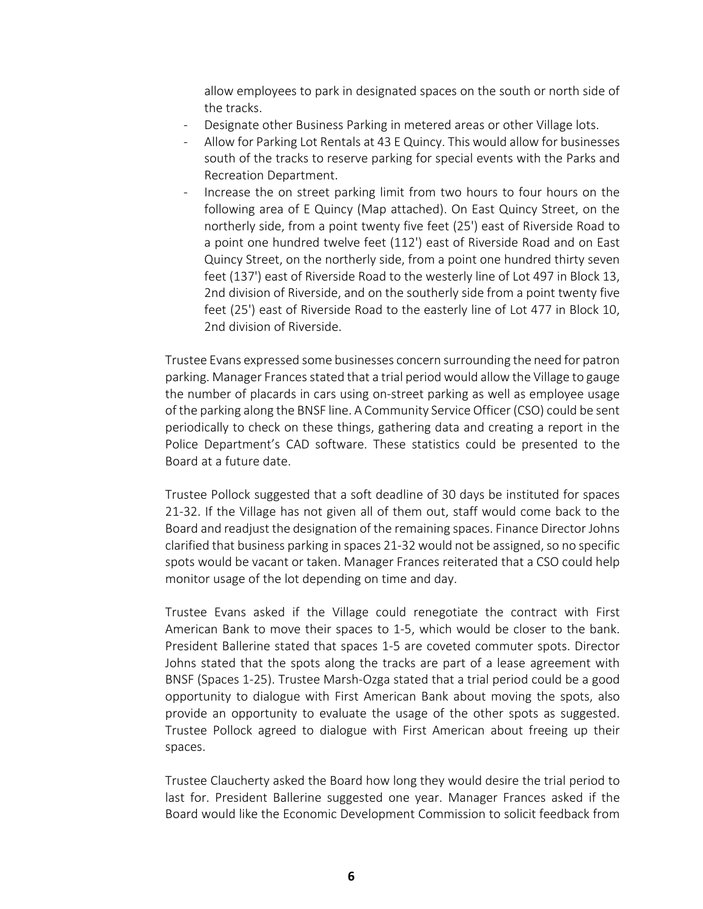allow employees to park in designated spaces on the south or north side of the tracks.

- Designate other Business Parking in metered areas or other Village lots.
- Allow for Parking Lot Rentals at 43 E Quincy. This would allow for businesses south of the tracks to reserve parking for special events with the Parks and Recreation Department.
- Increase the on street parking limit from two hours to four hours on the following area of E Quincy (Map attached). On East Quincy Street, on the northerly side, from a point twenty five feet (25') east of Riverside Road to a point one hundred twelve feet (112') east of Riverside Road and on East Quincy Street, on the northerly side, from a point one hundred thirty seven feet (137') east of Riverside Road to the westerly line of Lot 497 in Block 13, 2nd division of Riverside, and on the southerly side from a point twenty five feet (25') east of Riverside Road to the easterly line of Lot 477 in Block 10, 2nd division of Riverside.

Trustee Evans expressed some businesses concern surrounding the need for patron parking. Manager Frances stated that a trial period would allow the Village to gauge the number of placards in cars using on-street parking as well as employee usage of the parking along the BNSF line. A Community Service Officer (CSO) could be sent periodically to check on these things, gathering data and creating a report in the Police Department's CAD software. These statistics could be presented to the Board at a future date.

Trustee Pollock suggested that a soft deadline of 30 days be instituted for spaces 21-32. If the Village has not given all of them out, staff would come back to the Board and readjust the designation of the remaining spaces. Finance Director Johns clarified that business parking in spaces 21-32 would not be assigned, so no specific spots would be vacant or taken. Manager Frances reiterated that a CSO could help monitor usage of the lot depending on time and day.

Trustee Evans asked if the Village could renegotiate the contract with First American Bank to move their spaces to 1-5, which would be closer to the bank. President Ballerine stated that spaces 1-5 are coveted commuter spots. Director Johns stated that the spots along the tracks are part of a lease agreement with BNSF (Spaces 1-25). Trustee Marsh-Ozga stated that a trial period could be a good opportunity to dialogue with First American Bank about moving the spots, also provide an opportunity to evaluate the usage of the other spots as suggested. Trustee Pollock agreed to dialogue with First American about freeing up their spaces.

Trustee Claucherty asked the Board how long they would desire the trial period to last for. President Ballerine suggested one year. Manager Frances asked if the Board would like the Economic Development Commission to solicit feedback from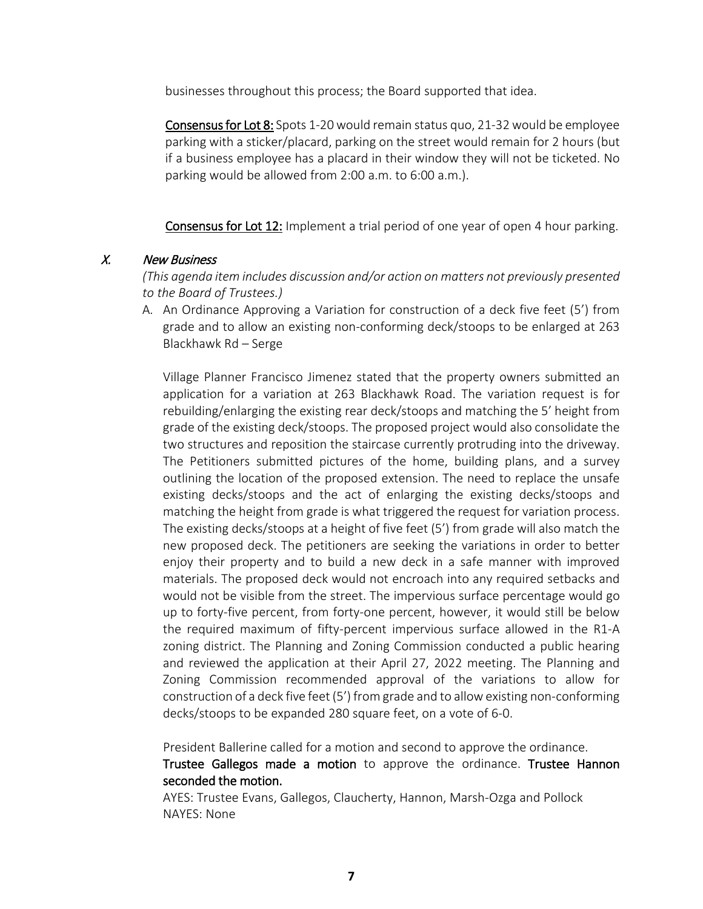businesses throughout this process; the Board supported that idea.

Consensus for Lot 8: Spots 1-20 would remain status quo, 21-32 would be employee parking with a sticker/placard, parking on the street would remain for 2 hours (but if a business employee has a placard in their window they will not be ticketed. No parking would be allowed from 2:00 a.m. to 6:00 a.m.).

Consensus for Lot 12: Implement a trial period of one year of open 4 hour parking.

### X. New Business

*(This agenda item includes discussion and/or action on matters not previously presented to the Board of Trustees.)*

A. An Ordinance Approving a Variation for construction of a deck five feet (5') from grade and to allow an existing non-conforming deck/stoops to be enlarged at 263 Blackhawk Rd – Serge

Village Planner Francisco Jimenez stated that the property owners submitted an application for a variation at 263 Blackhawk Road. The variation request is for rebuilding/enlarging the existing rear deck/stoops and matching the 5' height from grade of the existing deck/stoops. The proposed project would also consolidate the two structures and reposition the staircase currently protruding into the driveway. The Petitioners submitted pictures of the home, building plans, and a survey outlining the location of the proposed extension. The need to replace the unsafe existing decks/stoops and the act of enlarging the existing decks/stoops and matching the height from grade is what triggered the request for variation process. The existing decks/stoops at a height of five feet (5') from grade will also match the new proposed deck. The petitioners are seeking the variations in order to better enjoy their property and to build a new deck in a safe manner with improved materials. The proposed deck would not encroach into any required setbacks and would not be visible from the street. The impervious surface percentage would go up to forty-five percent, from forty-one percent, however, it would still be below the required maximum of fifty-percent impervious surface allowed in the R1-A zoning district. The Planning and Zoning Commission conducted a public hearing and reviewed the application at their April 27, 2022 meeting. The Planning and Zoning Commission recommended approval of the variations to allow for construction of a deck five feet (5') from grade and to allow existing non-conforming decks/stoops to be expanded 280 square feet, on a vote of 6-0.

President Ballerine called for a motion and second to approve the ordinance.

Trustee Gallegos made a motion to approve the ordinance. Trustee Hannon seconded the motion.

AYES: Trustee Evans, Gallegos, Claucherty, Hannon, Marsh-Ozga and Pollock NAYES: None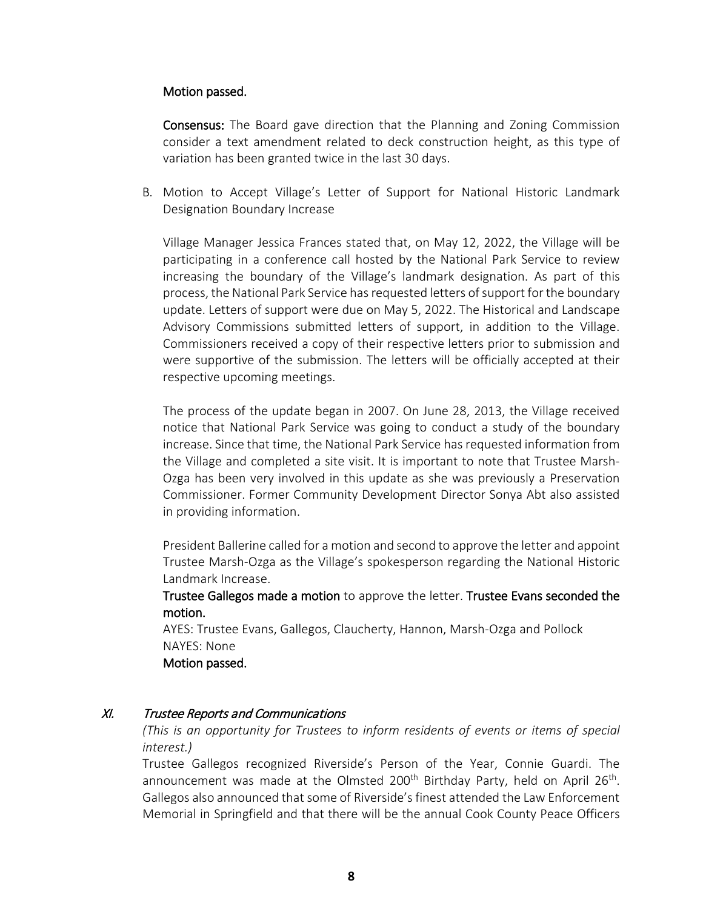#### Motion passed.

Consensus: The Board gave direction that the Planning and Zoning Commission consider a text amendment related to deck construction height, as this type of variation has been granted twice in the last 30 days.

B. Motion to Accept Village's Letter of Support for National Historic Landmark Designation Boundary Increase

Village Manager Jessica Frances stated that, on May 12, 2022, the Village will be participating in a conference call hosted by the National Park Service to review increasing the boundary of the Village's landmark designation. As part of this process, the National Park Service hasrequested letters of support for the boundary update. Letters of support were due on May 5, 2022. The Historical and Landscape Advisory Commissions submitted letters of support, in addition to the Village. Commissioners received a copy of their respective letters prior to submission and were supportive of the submission. The letters will be officially accepted at their respective upcoming meetings.

The process of the update began in 2007. On June 28, 2013, the Village received notice that National Park Service was going to conduct a study of the boundary increase. Since that time, the National Park Service has requested information from the Village and completed a site visit. It is important to note that Trustee Marsh-Ozga has been very involved in this update as she was previously a Preservation Commissioner. Former Community Development Director Sonya Abt also assisted in providing information.

President Ballerine called for a motion and second to approve the letter and appoint Trustee Marsh-Ozga as the Village's spokesperson regarding the National Historic Landmark Increase.

Trustee Gallegos made a motion to approve the letter. Trustee Evans seconded the motion.

AYES: Trustee Evans, Gallegos, Claucherty, Hannon, Marsh-Ozga and Pollock NAYES: None Motion passed.

#### XI. Trustee Reports and Communications

*(This is an opportunity for Trustees to inform residents of events or items of special interest.)*

Trustee Gallegos recognized Riverside's Person of the Year, Connie Guardi. The announcement was made at the Olmsted 200<sup>th</sup> Birthday Party, held on April 26<sup>th</sup>. Gallegos also announced that some of Riverside's finest attended the Law Enforcement Memorial in Springfield and that there will be the annual Cook County Peace Officers